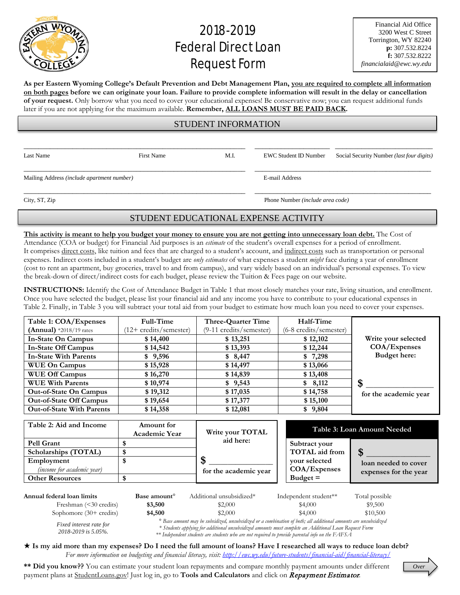

## 2018-2019 **Federal Direct Loan** Request Form

**As per Eastern Wyoming College's Default Prevention and Debt Management Plan, you are required to complete all information on both pages before we can originate your loan. Failure to provide complete information will result in the delay or cancellation of your request.** Only borrow what you need to cover your educational expenses! Be conservative now; you can request additional funds later if you are not applying for the maximum available. **Remember, ALL LOANS MUST BE PAID BACK.**

## STUDENT INFORMATION

\_\_\_\_\_\_\_\_\_\_\_\_\_\_\_\_\_\_\_\_\_\_\_\_\_\_\_\_\_\_\_\_\_\_\_\_\_\_\_\_\_\_\_\_\_\_\_\_\_\_\_\_\_\_\_\_\_\_\_ \_\_\_\_\_\_\_\_\_\_\_\_\_\_\_\_\_\_\_\_ \_\_\_\_\_\_\_\_\_\_\_\_\_\_\_\_\_\_\_\_\_\_\_\_\_\_

\_\_\_\_\_\_\_\_\_\_\_\_\_\_\_\_\_\_\_\_\_\_\_\_\_\_\_\_\_\_\_\_\_\_\_\_\_\_\_\_\_\_\_\_\_\_\_\_\_\_\_\_\_\_\_\_\_\_\_ \_\_\_\_\_\_\_\_\_\_\_\_\_\_\_\_\_\_\_\_\_\_\_\_\_\_\_\_\_\_\_\_\_\_\_\_\_\_\_\_\_\_\_\_\_\_\_

Mailing Address *(include apartment number)* E-mail Address

Last Name First Name First Name M.I. EWC Student ID Number Social Security Number *(last four digits)* 

\_\_\_\_\_\_\_\_\_\_\_\_\_\_\_\_\_\_\_\_\_\_\_\_\_\_\_\_\_\_\_\_\_\_\_\_\_\_\_\_\_\_\_\_\_\_\_\_\_\_\_\_\_\_\_\_\_\_\_ \_\_\_\_\_\_\_\_\_\_\_\_\_\_\_\_\_\_\_\_\_\_\_\_\_\_\_\_\_\_\_\_\_\_\_\_\_\_\_\_\_\_\_\_\_\_\_

City, ST, Zip Phone Number *(include area code)*

## STUDENT EDUCATIONAL EXPENSE ACTIVITY

**This activity is meant to help you budget your money to ensure you are not getting into unnecessary loan debt.** The Cost of Attendance (COA or budget) for Financial Aid purposes is an *estimate* of the student's overall expenses for a period of enrollment. It comprises direct costs, like tuition and fees that are charged to a student's account, and indirect costs such as transportation or personal expenses. Indirect costs included in a student's budget are *only estimates* of what expenses a student *might* face during a year of enrollment (cost to rent an apartment, buy groceries, travel to and from campus), and vary widely based on an individual's personal expenses. To view the break-down of direct/indirect costs for each budget, please review the Tuition & Fees page on our website.

**INSTRUCTIONS:** Identify the Cost of Attendance Budget in Table 1 that most closely matches your rate, living situation, and enrollment. Once you have selected the budget, please list your financial aid and any income you have to contribute to your educational expenses in Table 2. Finally, in Table 3 you will subtract your total aid from your budget to estimate how much loan you need to cover your expenses.

| Table 1: COA/Expenses            | Full-Time             | Three-Quarter Time      | Half-Time              |                       |
|----------------------------------|-----------------------|-------------------------|------------------------|-----------------------|
| $(Annual)$ *2018/19 rates        | 12+ credits/semester) | (9-11 credits/semester) | (6-8 credits/semester) |                       |
| In-State On Campus               | \$14,400              | \$13,251                | \$12,102               | Write your selected   |
| <b>In-State Off Campus</b>       | \$14,542              | \$13,393                | \$12,244               | COA/Expenses          |
| <b>In-State With Parents</b>     | \$9,596               | \$8,447                 | \$7,298                | Budget here:          |
| <b>WUE On Campus</b>             | \$15,928              | \$14,497                | \$13,066               |                       |
| <b>WUE Off Campus</b>            | \$16,270              | \$14,839                | \$13,408               |                       |
| <b>WUE With Parents</b>          | \$10,974              | \$9,543                 | \$8,112                | \$                    |
| <b>Out-of-State On Campus</b>    | \$19,312              | \$17,035                | \$14,758               | for the academic year |
| <b>Out-of-State Off Campus</b>   | \$19,654              | \$17,377                | \$15,100               |                       |
| <b>Out-of-State With Parents</b> | \$14,358              | \$12,081                | \$9,804                |                       |

| Table 2: Aid and Income           | Amount for<br><b>Academic Year</b> | Write your TOTAL<br>aid here: |                       | Table 3: Loan Amount Needed |
|-----------------------------------|------------------------------------|-------------------------------|-----------------------|-----------------------------|
| <b>Pell Grant</b>                 |                                    |                               | Subtract your         |                             |
| Scholarships (TOTAL)              |                                    |                               | <b>TOTAL</b> aid from |                             |
| Employment                        |                                    |                               | vour selected         | loan needed to cover        |
| <i>(income for academic year)</i> |                                    | for the academic year         | COA/Expenses          | expenses for the year       |
| <b>Other Resources</b>            |                                    |                               | $Budget =$            |                             |
|                                   |                                    |                               |                       |                             |

| Annual federal loan limits | Base amount | Additional unsubsidized*                                                                                                  | Independent student <sup>**</sup> | Total possible |
|----------------------------|-------------|---------------------------------------------------------------------------------------------------------------------------|-----------------------------------|----------------|
| Freshman (<30 credits)     | \$3,500     | \$2,000                                                                                                                   | \$4,000                           | \$9,500        |
| Sophomore $(30+$ credits)  | \$4,500     | \$2,000                                                                                                                   | \$4,000                           | \$10,500       |
|                            |             | <sup>2</sup> Race amount may be cubcidized uncubcidized on a combination of both, all additional amounts are uncubcidized |                                   |                |

*Fixed interest rate for 2018-2019 is 5.05%.*

*° Base amount may be subsidized, unsubsidized or a combination of both; all additional amounts are unsubsidized \* Students applying for additional unsubsidized amounts must complete an Additional Loan Request Form \*\* Independent students are students who are not required to provide parental info on the FAFSA*

 **Is my aid more than my expenses? Do I need the full amount of loans? Have I researched all ways to reduce loan debt?** *For more information on budgeting and financial literacy, visit:<http://ewc.wy.edu/future-students/financial-aid/financial-literacy/>*

**\*\* Did you know??** You can estimate your student loan repayments and compare monthly payment amounts under different payment plans at StudentLoans.gov! Just log in, go to **Tools and Calculators** and click on Repayment Estimator.